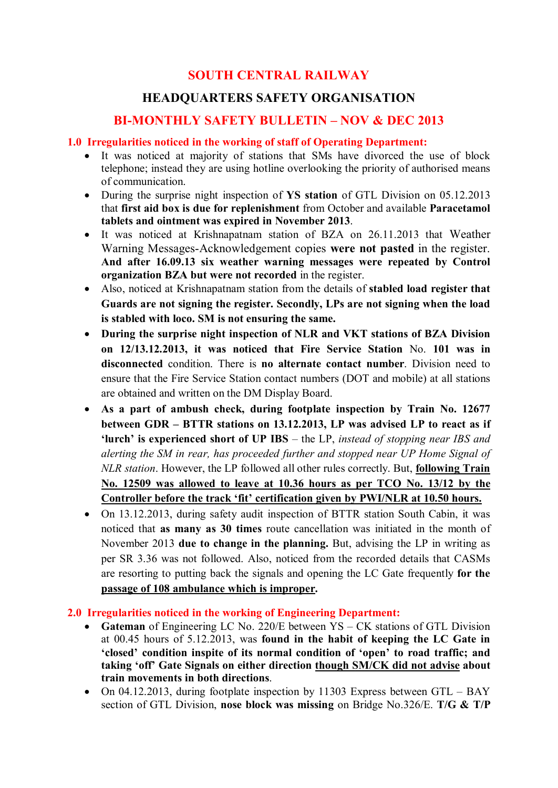# **SOUTH CENTRAL RAILWAY**

# **HEADQUARTERS SAFETY ORGANISATION**

## **BI-MONTHLY SAFETY BULLETIN – NOV & DEC 2013**

## **1.0 Irregularities noticed in the working of staff of Operating Department:**

- · It was noticed at majority of stations that SMs have divorced the use of block telephone; instead they are using hotline overlooking the priority of authorised means of communication.
- · During the surprise night inspection of **YS station** of GTL Division on 05.12.2013 that **first aid box is due for replenishment** from October and available **Paracetamol tablets and ointment was expired in November 2013**.
- · It was noticed at Krishnapatnam station of BZA on 26.11.2013 that Weather Warning Messages-Acknowledgement copies **were not pasted** in the register. **And after 16.09.13 six weather warning messages were repeated by Control organization BZA but were not recorded** in the register.
- · Also, noticed at Krishnapatnam station from the details of **stabled load register that Guards are not signing the register. Secondly, LPs are not signing when the load is stabled with loco. SM is not ensuring the same.**
- · **During the surprise night inspection of NLR and VKT stations of BZA Division on 12/13.12.2013, it was noticed that Fire Service Station** No. **101 was in disconnected** condition. There is **no alternate contact number**. Division need to ensure that the Fire Service Station contact numbers (DOT and mobile) at all stations are obtained and written on the DM Display Board.
- · **As a part of ambush check, during footplate inspection by Train No. 12677 between GDR – BTTR stations on 13.12.2013, LP was advised LP to react as if 'lurch' is experienced short of UP IBS** – the LP, *instead of stopping near IBS and alerting the SM in rear, has proceeded further and stopped near UP Home Signal of NLR station*. However, the LP followed all other rules correctly. But, **following Train No. 12509 was allowed to leave at 10.36 hours as per TCO No. 13/12 by the Controller before the track 'fit' certification given by PWI/NLR at 10.50 hours.**
- On 13.12.2013, during safety audit inspection of BTTR station South Cabin, it was noticed that **as many as 30 times** route cancellation was initiated in the month of November 2013 **due to change in the planning.** But, advising the LP in writing as per SR 3.36 was not followed. Also, noticed from the recorded details that CASMs are resorting to putting back the signals and opening the LC Gate frequently **for the passage of 108 ambulance which is improper.**

## **2.0 Irregularities noticed in the working of Engineering Department:**

- · **Gateman** of Engineering LC No. 220/E between YS CK stations of GTL Division at 00.45 hours of 5.12.2013, was **found in the habit of keeping the LC Gate in 'closed' condition inspite of its normal condition of 'open' to road traffic; and taking 'off' Gate Signals on either direction though SM/CK did not advise about train movements in both directions**.
- On 04.12.2013, during footplate inspection by 11303 Express between GTL BAY section of GTL Division, **nose block was missing** on Bridge No.326/E. **T/G & T/P**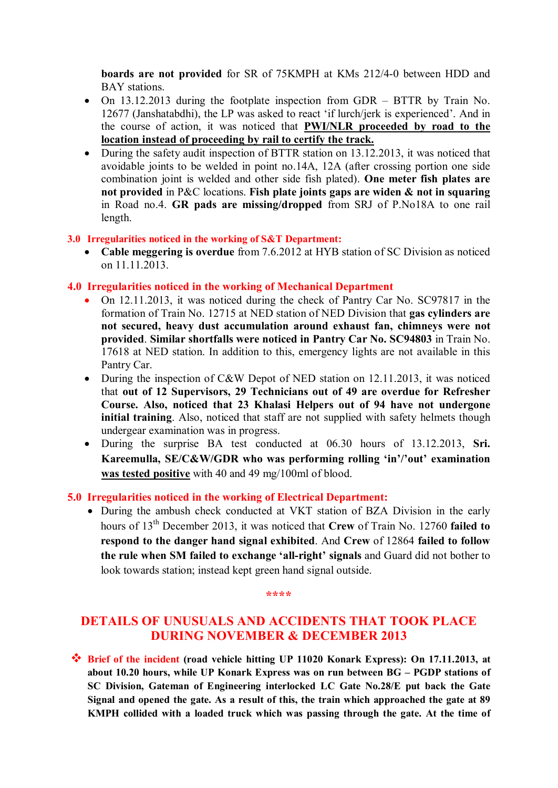**boards are not provided** for SR of 75KMPH at KMs 212/4-0 between HDD and BAY stations.

- · On 13.12.2013 during the footplate inspection from GDR BTTR by Train No. 12677 (Janshatabdhi), the LP was asked to react 'if lurch/jerk is experienced'. And in the course of action, it was noticed that **PWI/NLR proceeded by road to the location instead of proceeding by rail to certify the track.**
- During the safety audit inspection of BTTR station on 13.12.2013, it was noticed that avoidable joints to be welded in point no.14A, 12A (after crossing portion one side combination joint is welded and other side fish plated). **One meter fish plates are not provided** in P&C locations. **Fish plate joints gaps are widen & not in squaring** in Road no.4. **GR pads are missing/dropped** from SRJ of P.No18A to one rail length.

### **3.0 Irregularities noticed in the working of S&T Department:**

· **Cable meggering is overdue** from 7.6.2012 at HYB station of SC Division as noticed on 11.11.2013.

## **4.0 Irregularities noticed in the working of Mechanical Department**

- · On 12.11.2013, it was noticed during the check of Pantry Car No. SC97817 in the formation of Train No. 12715 at NED station of NED Division that **gas cylinders are not secured, heavy dust accumulation around exhaust fan, chimneys were not provided**. **Similar shortfalls were noticed in Pantry Car No. SC94803** in Train No. 17618 at NED station. In addition to this, emergency lights are not available in this Pantry Car.
- During the inspection of C&W Depot of NED station on 12.11.2013, it was noticed that **out of 12 Supervisors, 29 Technicians out of 49 are overdue for Refresher Course. Also, noticed that 23 Khalasi Helpers out of 94 have not undergone initial training**. Also, noticed that staff are not supplied with safety helmets though undergear examination was in progress.
- · During the surprise BA test conducted at 06.30 hours of 13.12.2013, **Sri. Kareemulla, SE/C&W/GDR who was performing rolling 'in'/'out' examination was tested positive** with 40 and 49 mg/100ml of blood.

## **5.0 Irregularities noticed in the working of Electrical Department:**

· During the ambush check conducted at VKT station of BZA Division in the early hours of 13th December 2013, it was noticed that **Crew** of Train No. 12760 **failed to respond to the danger hand signal exhibited**. And **Crew** of 12864 **failed to follow the rule when SM failed to exchange 'all-right' signals** and Guard did not bother to look towards station; instead kept green hand signal outside.

#### **\*\*\*\***

# **DETAILS OF UNUSUALS AND ACCIDENTS THAT TOOK PLACE DURING NOVEMBER & DECEMBER 2013**

**<sup>❖</sup> Brief of the incident (road vehicle hitting UP 11020 Konark Express): On 17.11.2013, at about 10.20 hours, while UP Konark Express was on run between BG – PGDP stations of SC Division, Gateman of Engineering interlocked LC Gate No.28/E put back the Gate Signal and opened the gate. As a result of this, the train which approached the gate at 89 KMPH collided with a loaded truck which was passing through the gate. At the time of**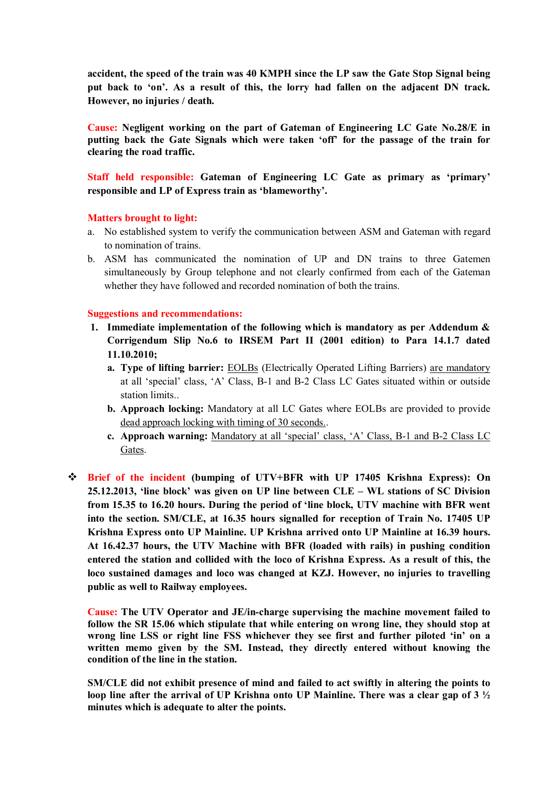**accident, the speed of the train was 40 KMPH since the LP saw the Gate Stop Signal being put back to 'on'. As a result of this, the lorry had fallen on the adjacent DN track. However, no injuries / death.**

**Cause: Negligent working on the part of Gateman of Engineering LC Gate No.28/E in putting back the Gate Signals which were taken 'off' for the passage of the train for clearing the road traffic.**

**Staff held responsible: Gateman of Engineering LC Gate as primary as 'primary' responsible and LP of Express train as 'blameworthy'.** 

### **Matters brought to light:**

- a. No established system to verify the communication between ASM and Gateman with regard to nomination of trains.
- b. ASM has communicated the nomination of UP and DN trains to three Gatemen simultaneously by Group telephone and not clearly confirmed from each of the Gateman whether they have followed and recorded nomination of both the trains.

### **Suggestions and recommendations:**

- **1. Immediate implementation of the following which is mandatory as per Addendum & Corrigendum Slip No.6 to IRSEM Part II (2001 edition) to Para 14.1.7 dated 11.10.2010;**
	- **a. Type of lifting barrier:** EOLBs (Electrically Operated Lifting Barriers) are mandatory at all 'special' class, 'A' Class, B-1 and B-2 Class LC Gates situated within or outside station limits..
	- **b. Approach locking:** Mandatory at all LC Gates where EOLBs are provided to provide dead approach locking with timing of 30 seconds..
	- **c. Approach warning:** Mandatory at all 'special' class, 'A' Class, B-1 and B-2 Class LC Gates.
- v **Brief of the incident (bumping of UTV+BFR with UP 17405 Krishna Express): On 25.12.2013, 'line block' was given on UP line between CLE – WL stations of SC Division from 15.35 to 16.20 hours. During the period of 'line block, UTV machine with BFR went into the section. SM/CLE, at 16.35 hours signalled for reception of Train No. 17405 UP Krishna Express onto UP Mainline. UP Krishna arrived onto UP Mainline at 16.39 hours. At 16.42.37 hours, the UTV Machine with BFR (loaded with rails) in pushing condition entered the station and collided with the loco of Krishna Express. As a result of this, the loco sustained damages and loco was changed at KZJ. However, no injuries to travelling public as well to Railway employees.**

**Cause: The UTV Operator and JE/in-charge supervising the machine movement failed to follow the SR 15.06 which stipulate that while entering on wrong line, they should stop at wrong line LSS or right line FSS whichever they see first and further piloted 'in' on a written memo given by the SM. Instead, they directly entered without knowing the condition of the line in the station.**

**SM/CLE did not exhibit presence of mind and failed to act swiftly in altering the points to loop line after the arrival of UP Krishna onto UP Mainline. There was a clear gap of 3 ½ minutes which is adequate to alter the points.**